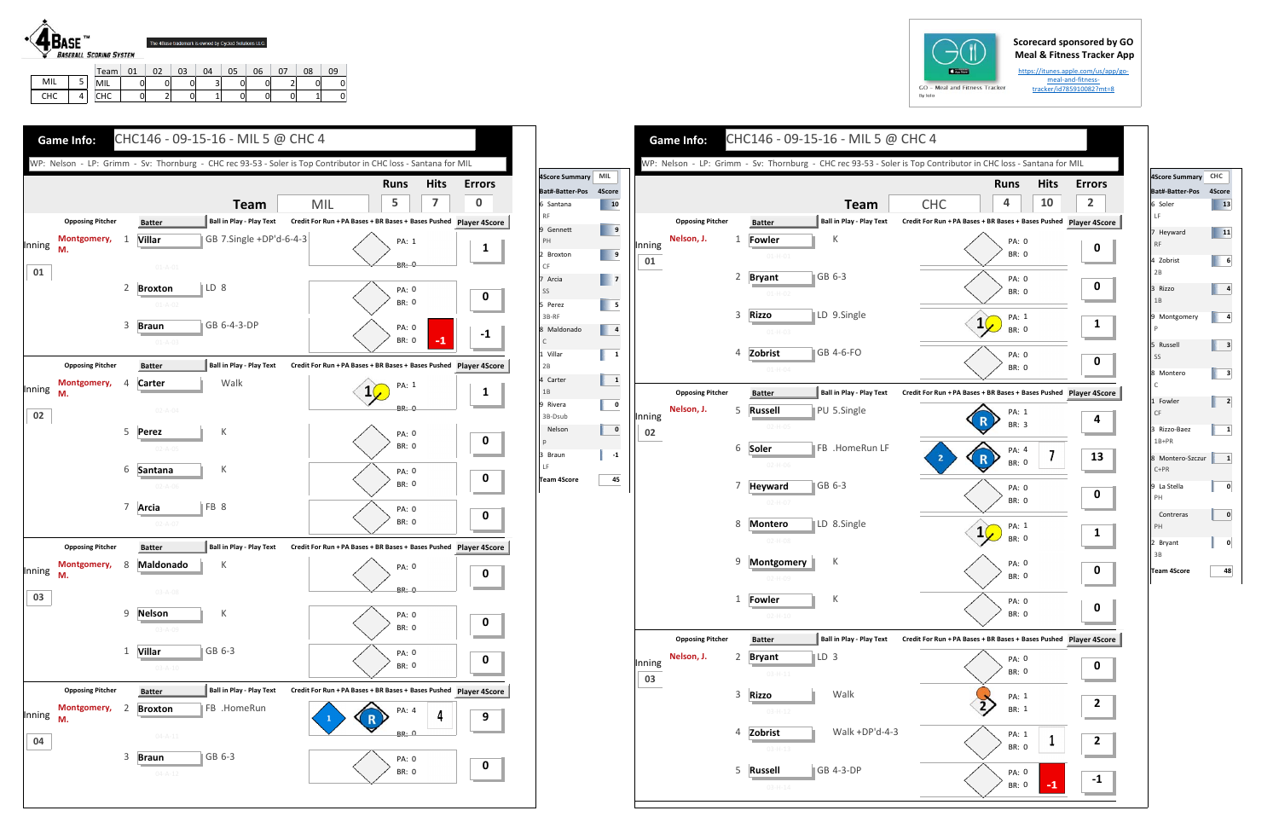## **Scorecard sponsored by GO Meal & Fitness Tracker App**

https://itunes.apple.com/us/app/go‐ meal‐and‐fitness‐ tracker/id785910082?mt=8



MILL | 5 CHC 4

MIL | 0 | 0 | 0 | 3 | 0 | 0 | 2 | 0 | 0 CHC | 0 | 2 | 0 | 1 | 0 | 0 | 0 | 1 | 0

|  | $GO - M$ |  |
|--|----------|--|
|  | By Iolo  |  |

|                     |                                                                                                                                                                                                                                                                                                                                                                                                                                  |        | <b>Game Info:</b>       |   |                | CHC146 - 09-15-16 - MIL 5 @ CHC 4 |                                                                                                                 |                       |             |                |
|---------------------|----------------------------------------------------------------------------------------------------------------------------------------------------------------------------------------------------------------------------------------------------------------------------------------------------------------------------------------------------------------------------------------------------------------------------------|--------|-------------------------|---|----------------|-----------------------------------|-----------------------------------------------------------------------------------------------------------------|-----------------------|-------------|----------------|
| 4Score Summary      | MIL                                                                                                                                                                                                                                                                                                                                                                                                                              |        |                         |   |                |                                   | WP: Nelson - LP: Grimm - Sv: Thornburg - CHC rec 93-53 - Soler is Top Contributor in CHC loss - Santana for MIL |                       |             |                |
| Bat#-Batter-Pos     | 4Score                                                                                                                                                                                                                                                                                                                                                                                                                           |        |                         |   |                |                                   |                                                                                                                 | <b>Runs</b>           | <b>Hits</b> | Erro           |
| 6 Santana           | 10                                                                                                                                                                                                                                                                                                                                                                                                                               |        |                         |   |                | <b>Team</b>                       | <b>CHC</b>                                                                                                      | 4                     | 10          | $\overline{2}$ |
|                     |                                                                                                                                                                                                                                                                                                                                                                                                                                  |        | <b>Opposing Pitcher</b> |   | <b>Batter</b>  | <b>Ball in Play - Play Text</b>   | Credit For Run + PA Bases + BR Bases + Bases Pushed Player 49                                                   |                       |             |                |
| 9 Gennett           | $\overline{9}$                                                                                                                                                                                                                                                                                                                                                                                                                   |        | Nelson, J.              | 1 | Fowler         | К                                 |                                                                                                                 | PA: 0                 |             |                |
| 2 Broxton           | $\overline{\phantom{a}}$                                                                                                                                                                                                                                                                                                                                                                                                         | Inning |                         |   | $01-H-01$      |                                   |                                                                                                                 | <b>BR: 0</b>          |             | 0              |
|                     |                                                                                                                                                                                                                                                                                                                                                                                                                                  | 01     |                         |   |                |                                   |                                                                                                                 |                       |             |                |
| 7 Arcia             | $\begin{array}{ c c c c c }\n\hline\n\textbf{z} & \textbf{z} & \textbf{z} \\ \hline\n\textbf{z} & \textbf{z} & \textbf{z} \\ \hline\n\textbf{z} & \textbf{z} & \textbf{z} \\ \hline\n\textbf{z} & \textbf{z} & \textbf{z} \\ \hline\n\textbf{z} & \textbf{z} & \textbf{z} \\ \hline\n\textbf{z} & \textbf{z} & \textbf{z} \\ \hline\n\textbf{z} & \textbf{z} & \textbf{z} \\ \hline\n\textbf{z} & \textbf{z} & \textbf{z} \\ \h$ |        |                         | 2 | <b>Bryant</b>  | GB 6-3                            |                                                                                                                 | PA: 0                 |             | 0              |
| 5 Perez             | $\begin{array}{ c c c }\n\hline\n\textbf{5} & \textbf{5}\n\end{array}$                                                                                                                                                                                                                                                                                                                                                           |        |                         |   | $01-H-02$      |                                   |                                                                                                                 | <b>BR: 0</b>          |             |                |
|                     |                                                                                                                                                                                                                                                                                                                                                                                                                                  |        |                         | 3 | <b>Rizzo</b>   | LD 9.Single                       |                                                                                                                 | PA: 1                 |             |                |
| 8 Maldonado         | $\begin{array}{ c c c } \hline \quad & 4 \\ \hline \end{array}$                                                                                                                                                                                                                                                                                                                                                                  |        |                         |   | $01-H-03$      |                                   |                                                                                                                 | <b>BR: 0</b>          |             | 1              |
|                     |                                                                                                                                                                                                                                                                                                                                                                                                                                  |        |                         | 4 | Zobrist        | GB 4-6-FO                         |                                                                                                                 |                       |             |                |
| 1 Villar            | $\begin{array}{ccc} \end{array}$                                                                                                                                                                                                                                                                                                                                                                                                 |        |                         |   |                |                                   |                                                                                                                 | PA: 0<br><b>BR: 0</b> |             | 0              |
| 4 Carter            | $\overline{\mathbf{1}}$                                                                                                                                                                                                                                                                                                                                                                                                          |        |                         |   | $01-H-04$      |                                   |                                                                                                                 |                       |             |                |
|                     |                                                                                                                                                                                                                                                                                                                                                                                                                                  |        | <b>Opposing Pitcher</b> |   | <b>Batter</b>  | <b>Ball in Play - Play Text</b>   | Credit For Run + PA Bases + BR Bases + Bases Pushed Player 49                                                   |                       |             |                |
| 9 Rivera<br>3B-Dsub | 0                                                                                                                                                                                                                                                                                                                                                                                                                                |        | Nelson, J.              | 5 | <b>Russell</b> | PU 5.Single                       |                                                                                                                 | PA: 1                 |             |                |
|                     | 0                                                                                                                                                                                                                                                                                                                                                                                                                                | Inning |                         |   | $02-H-05$      |                                   |                                                                                                                 | BR: 3                 |             | 4              |
|                     |                                                                                                                                                                                                                                                                                                                                                                                                                                  | 02     |                         |   |                |                                   |                                                                                                                 |                       |             |                |
|                     | $-1$                                                                                                                                                                                                                                                                                                                                                                                                                             |        |                         | 6 | Soler          | FB .HomeRun LF                    | 2                                                                                                               | PA: 4                 | 7           | $\mathbf{1}$   |
| Team 4Score         |                                                                                                                                                                                                                                                                                                                                                                                                                                  |        |                         |   | $02-H-06$      |                                   |                                                                                                                 | <b>BR: 0</b>          |             |                |
|                     | 45                                                                                                                                                                                                                                                                                                                                                                                                                               |        |                         | 7 | <b>Heyward</b> | GB 6-3                            |                                                                                                                 | PA: 0                 |             |                |
|                     |                                                                                                                                                                                                                                                                                                                                                                                                                                  |        |                         |   | $02 - H - 07$  |                                   |                                                                                                                 | BR: 0                 |             | 0              |
|                     |                                                                                                                                                                                                                                                                                                                                                                                                                                  |        |                         | 8 | <b>Montero</b> | LD 8.Single                       |                                                                                                                 |                       |             |                |
|                     |                                                                                                                                                                                                                                                                                                                                                                                                                                  |        |                         |   |                |                                   |                                                                                                                 | PA: 1<br><b>BR: 0</b> |             | <u>1</u>       |
|                     |                                                                                                                                                                                                                                                                                                                                                                                                                                  |        |                         |   | $02 - H - 08$  |                                   |                                                                                                                 |                       |             |                |
|                     |                                                                                                                                                                                                                                                                                                                                                                                                                                  |        |                         | 9 | Montgomery     | К                                 |                                                                                                                 | PA: 0                 |             | 0              |
|                     |                                                                                                                                                                                                                                                                                                                                                                                                                                  |        |                         |   | $02-H-09$      |                                   |                                                                                                                 | <b>BR: 0</b>          |             |                |
|                     |                                                                                                                                                                                                                                                                                                                                                                                                                                  |        |                         | 1 | <b>Fowler</b>  | К                                 |                                                                                                                 | PA: 0                 |             |                |
|                     |                                                                                                                                                                                                                                                                                                                                                                                                                                  |        |                         |   | $02 - H - 10$  |                                   |                                                                                                                 | BR: 0                 |             | 0              |
|                     |                                                                                                                                                                                                                                                                                                                                                                                                                                  |        |                         |   |                |                                   |                                                                                                                 |                       |             |                |
|                     |                                                                                                                                                                                                                                                                                                                                                                                                                                  |        | <b>Opposing Pitcher</b> |   | <b>Batter</b>  | <b>Ball in Play - Play Text</b>   | Credit For Run + PA Bases + BR Bases + Bases Pushed Player 49                                                   |                       |             |                |
|                     |                                                                                                                                                                                                                                                                                                                                                                                                                                  | Inning | Nelson, J.              | 2 | <b>Bryant</b>  | LD 3                              |                                                                                                                 | PA: 0                 |             | 0              |
|                     |                                                                                                                                                                                                                                                                                                                                                                                                                                  | 03     |                         |   | $03 - H - 11$  |                                   |                                                                                                                 | BR: 0                 |             |                |
|                     |                                                                                                                                                                                                                                                                                                                                                                                                                                  |        |                         | 3 | <b>Rizzo</b>   | Walk                              |                                                                                                                 | PA: 1                 |             |                |
|                     |                                                                                                                                                                                                                                                                                                                                                                                                                                  |        |                         |   | $03 - H - 12$  |                                   |                                                                                                                 | BR: 1                 |             | 2              |
|                     |                                                                                                                                                                                                                                                                                                                                                                                                                                  |        |                         |   |                |                                   |                                                                                                                 |                       |             |                |
|                     |                                                                                                                                                                                                                                                                                                                                                                                                                                  |        |                         | 4 | Zobrist        | Walk +DP'd-4-3                    |                                                                                                                 | PA: 1                 | 1           | 2              |
|                     |                                                                                                                                                                                                                                                                                                                                                                                                                                  |        |                         |   | $03 - H - 13$  |                                   |                                                                                                                 | BR: 0                 |             |                |
|                     |                                                                                                                                                                                                                                                                                                                                                                                                                                  |        |                         | 5 | <b>Russell</b> | GB 4-3-DP                         |                                                                                                                 | PA: 0                 |             |                |
|                     |                                                                                                                                                                                                                                                                                                                                                                                                                                  |        |                         |   | $03-H-14$      |                                   |                                                                                                                 | BR: 0                 | -1          |                |



| WP: Nelson - LP: Grimm - Sv: Thornburg - CHC rec 93-53 - Soler is Top Contributor in CHC loss - Santana for MIL |   |                             |                                 |     |              |                |             |                                                                   | <b>4Score Summary</b>  |
|-----------------------------------------------------------------------------------------------------------------|---|-----------------------------|---------------------------------|-----|--------------|----------------|-------------|-------------------------------------------------------------------|------------------------|
|                                                                                                                 |   |                             |                                 |     |              | <b>Runs</b>    | <b>Hits</b> | <b>Errors</b>                                                     | <b>Bat#-Batter-Pos</b> |
|                                                                                                                 |   |                             | <b>Team</b>                     | MIL |              | 5              | 7           | $\bf{0}$                                                          | 6 Santana              |
| <b>Opposing Pitcher</b>                                                                                         |   | <b>Batter</b>               | <b>Ball in Play - Play Text</b> |     |              |                |             | Credit For Run + PA Bases + BR Bases + Bases Pushed Player 4Score | <b>RF</b>              |
| Montgomery,                                                                                                     | 1 | <b>Villar</b>               | GB 7.Single +DP'd-6-4-3         |     |              | PA: 1          |             |                                                                   | 9 Gennett<br>PH        |
| Inning<br>M.                                                                                                    |   |                             |                                 |     |              |                |             | 1                                                                 | 2 Broxton              |
| 01                                                                                                              |   | $01 - A - 01$               |                                 |     |              | <b>BR: 0</b>   |             |                                                                   | CF                     |
|                                                                                                                 | 2 | LD 8<br><b>Broxton</b>      |                                 |     |              |                |             |                                                                   | 7 Arcia                |
|                                                                                                                 |   |                             |                                 |     |              | PA: 0<br>BR: 0 |             | 0                                                                 | SS                     |
|                                                                                                                 |   | $01 - A - 02$               |                                 |     |              |                |             |                                                                   | 5 Perez<br>3B-RF       |
|                                                                                                                 | 3 | GB 6-4-3-DP<br><b>Braun</b> |                                 |     |              | PA: 0          |             |                                                                   | 8 Maldonado            |
|                                                                                                                 |   | $01 - A - 03$               |                                 |     |              | <b>BR: 0</b>   | $-1$        | $-1$                                                              | $\mathsf C$            |
|                                                                                                                 |   |                             |                                 |     |              |                |             |                                                                   | 1 Villar               |
| <b>Opposing Pitcher</b>                                                                                         |   | <b>Batter</b>               | <b>Ball in Play - Play Text</b> |     |              |                |             | Credit For Run + PA Bases + BR Bases + Bases Pushed Player 4Score | 2B<br>4 Carter         |
| Montgomery,<br>Inning<br>м.                                                                                     | 4 | Walk<br>Carter              |                                 |     |              | PA: 1          |             | 1                                                                 | 1B                     |
|                                                                                                                 |   | $02 - A - 04$               |                                 |     |              | <b>BR: 0</b>   |             |                                                                   | 9 Rivera               |
| 02                                                                                                              |   |                             |                                 |     |              |                |             |                                                                   | 3B-Dsub                |
|                                                                                                                 | 5 | К<br><b>Perez</b>           |                                 |     |              | PA: 0          |             | O                                                                 | Nelson<br>p            |
|                                                                                                                 |   | $02 - A - 05$               |                                 |     |              | <b>BR: 0</b>   |             |                                                                   | 3 Braun                |
|                                                                                                                 | 6 | К<br>Santana                |                                 |     |              | PA: 0          |             |                                                                   | LF                     |
|                                                                                                                 |   | $02 - A - 06$               |                                 |     |              | <b>BR: 0</b>   |             | 0                                                                 | <b>Team 4Score</b>     |
|                                                                                                                 |   |                             |                                 |     |              |                |             |                                                                   |                        |
|                                                                                                                 | 7 | FB 8<br>Arcia               |                                 |     |              | PA: 0          |             | 0                                                                 |                        |
|                                                                                                                 |   | $02 - A - 07$               |                                 |     |              | <b>BR: 0</b>   |             |                                                                   |                        |
| <b>Opposing Pitcher</b>                                                                                         |   | <b>Batter</b>               | <b>Ball in Play - Play Text</b> |     |              |                |             | Credit For Run + PA Bases + BR Bases + Bases Pushed Player 4Score |                        |
| Montgomery,                                                                                                     | 8 | Κ<br>Maldonado              |                                 |     |              | PA: 0          |             |                                                                   |                        |
| Inning<br>M.                                                                                                    |   |                             |                                 |     |              |                |             | 0                                                                 |                        |
| 03                                                                                                              |   | $03 - A - 08$               |                                 |     | $\checkmark$ | <b>BR: 0</b>   |             |                                                                   |                        |
|                                                                                                                 | 9 | К<br><b>Nelson</b>          |                                 |     |              | PA: 0          |             |                                                                   |                        |
|                                                                                                                 |   | $03 - A - 09$               |                                 |     |              | BR: 0          |             | 0                                                                 |                        |
|                                                                                                                 |   |                             |                                 |     |              |                |             |                                                                   |                        |
|                                                                                                                 | 1 | GB 6-3<br><b>Villar</b>     |                                 |     |              | PA: 0          |             | 0                                                                 |                        |
|                                                                                                                 |   | $03 - A - 10$               |                                 |     |              | BR: 0          |             |                                                                   |                        |
| <b>Opposing Pitcher</b>                                                                                         |   | <b>Batter</b>               | Ball in Play - Play Text        |     |              |                |             | Credit For Run + PA Bases + BR Bases + Bases Pushed Player 4Score |                        |
| Montgomery,                                                                                                     | 2 | <b>Broxton</b>              | FB .HomeRun                     |     |              |                |             |                                                                   |                        |
| Inning<br>M.                                                                                                    |   |                             |                                 |     |              | PA: 4          | 4           | 9                                                                 |                        |
|                                                                                                                 |   | $04 - A - 11$               |                                 |     |              | <b>BR: 0</b>   |             |                                                                   |                        |
| 04                                                                                                              |   |                             |                                 |     |              |                |             |                                                                   |                        |
|                                                                                                                 | 3 | GB 6-3<br><b>Braun</b>      |                                 |     |              | PA: 0<br>BR: 0 |             | 0                                                                 |                        |



| 4Score Summary CHC           |              |
|------------------------------|--------------|
| Bat#-Batter-Pos 4Score       |              |
| 6 Soler<br>LF                | 13           |
| 7 Heyward<br><b>RF</b>       | 11           |
| 4 Zobrist<br>2B              | 6            |
| 3 Rizzo<br>1B                | 4            |
| 9 Montgomery<br>$\mathsf{P}$ | 4            |
| 5 Russell<br>SS              | 3            |
| 8 Montero<br>C               | з            |
| 1 Fowler<br>CF               | $\mathbf{z}$ |
| 3 Rizzo-Baez<br>$1B+PR$      | 1            |
| 8 Montero-Szczur<br>$C+PR$   | 1            |
| 9 La Stella<br>PH            | 0            |
| Contreras<br>PH              | 0            |
| 2 Bryant<br>3B               | 0            |
| Team 4Score                  | 48           |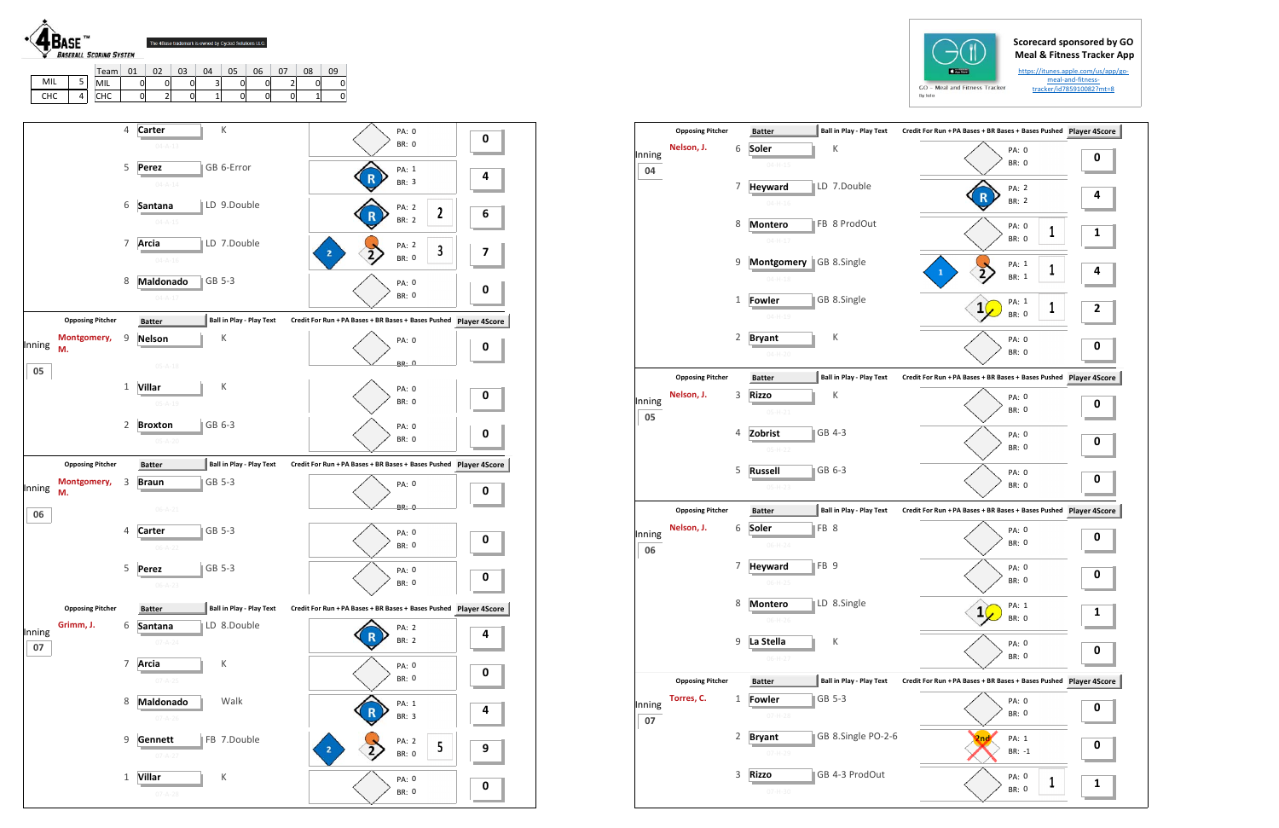## **Scorecard sponsored by GO Meal & Fitness Tracker App**

https://itunes.apple.com/us/app/go‐ meal‐and‐fitness‐ tracker/id785910082?mt=8





|              | <b>Opposing Pitcher</b> |              | <b>Batter</b>                      | <b>Ball in Play - Play Text</b> | Credit For Run + PA Bases + BR Bases + Bases Pushed Player 4S |   |
|--------------|-------------------------|--------------|------------------------------------|---------------------------------|---------------------------------------------------------------|---|
| Inning       | Nelson, J.              | 6            | Soler<br>$04 - H - 15$             | К                               | PA: 0<br><b>BR: 0</b>                                         | 0 |
| 04           |                         | 7            | <b>Heyward</b><br>$04-H-16$        | LD 7.Double                     | PA: 2<br><b>BR: 2</b>                                         | 4 |
|              |                         | 8            | <b>Montero</b><br>$04 - H - 17$    | FB 8 ProdOut                    | PA: 0<br>1<br><b>BR: 0</b>                                    | 1 |
|              |                         | 9            | <b>Montgomery</b><br>$04 - H - 18$ | GB 8.Single                     | PA: 1<br>1<br>1<br>BR: 1                                      | 4 |
|              |                         | 1            | Fowler<br>$04 - H - 19$            | GB 8.Single                     | PA: 1<br>1<br><b>BR: 0</b>                                    | 2 |
|              |                         | 2            | <b>Bryant</b><br>$04-H-20$         | К                               | PA: 0<br>BR: 0                                                | 0 |
|              | <b>Opposing Pitcher</b> |              | <b>Batter</b>                      | <b>Ball in Play - Play Text</b> | Credit For Run + PA Bases + BR Bases + Bases Pushed Player 4S |   |
| Inning<br>05 | Nelson, J.              | 3            | <b>Rizzo</b><br>$05 - H - 21$      | К                               | PA: 0<br>BR: 0                                                | 0 |
|              |                         | 4            | Zobrist<br>$05-H-22$               | GB 4-3                          | PA: 0<br>BR: 0                                                | 0 |
|              |                         | 5            | <b>Russell</b><br>$05-H-23$        | GB 6-3                          | PA: 0<br>BR: 0                                                | 0 |
|              | <b>Opposing Pitcher</b> |              | <b>Batter</b>                      | <b>Ball in Play - Play Text</b> | Credit For Run + PA Bases + BR Bases + Bases Pushed Player 4S |   |
| Inning<br>06 | Nelson, J.              | 6            | Soler<br>$06-H-24$                 | FB 8                            | PA: 0<br><b>BR: 0</b>                                         | 0 |
|              |                         | 7            | <b>Heyward</b><br>$06-H-25$        | FB <sub>9</sub>                 | PA: 0<br>BR: 0                                                | 0 |
|              |                         | 8            | <b>Montero</b><br>$06-H-26$        | LD 8.Single                     | PA: 1<br>$\mathbf{1}$<br><b>BR: 0</b>                         | 1 |
|              |                         | 9            | La Stella<br>$06-H-27$             | К                               | PA: 0<br><b>BR: 0</b>                                         | 0 |
|              | <b>Opposing Pitcher</b> |              | <b>Batter</b>                      | <b>Ball in Play - Play Text</b> | Credit For Run + PA Bases + BR Bases + Bases Pushed Player 4S |   |
| Inning<br>07 | Torres, C.              | $\mathbf{1}$ | <b>Fowler</b><br>$07-H-28$         | GB 5-3                          | PA: 0<br>BR: 0                                                | 0 |
|              |                         | 2            | <b>Bryant</b><br>$07-H-29$         | GB 8.Single PO-2-6              | <b>Qnd</b><br>PA: 1<br>BR: -1                                 | 0 |
|              |                         | 3            | <b>Rizzo</b><br>07-H-30            | GB 4-3 ProdOut                  | PA: 0<br>1<br>BR: 0                                           | 1 |